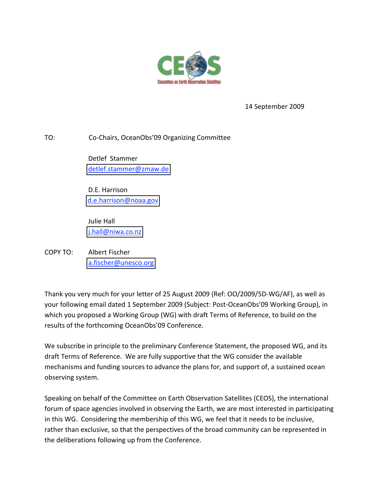

14 September 2009

TO: Co-Chairs, OceanObs'09 Organizing Committee

 Detlef Stammer  [detlef.stammer@zmaw.de](mailto:detlef.stammer@zmaw.de)

 D.E. Harrison  [d.e.harrison@noaa.gov](mailto:d.e.harrison@noaa.gov)

 Julie Hall  [j.hall@niwa.co.nz](mailto:j.hall@niwa.co.nz)

COPY TO: Albert Fischer  [a.fischer@unesco.org](mailto:a.fischer@unesco.org)

Thank you very much for your letter of 25 August 2009 (Ref: OO/2009/5D‐WG/AF), as well as your following email dated 1 September 2009 (Subject: Post‐OceanObs'09 Working Group), in which you proposed a Working Group (WG) with draft Terms of Reference, to build on the results of the forthcoming OceanObs'09 Conference.

We subscribe in principle to the preliminary Conference Statement, the proposed WG, and its draft Terms of Reference. We are fully supportive that the WG consider the available mechanisms and funding sources to advance the plans for, and support of, a sustained ocean observing system.

Speaking on behalf of the Committee on Earth Observation Satellites (CEOS), the international forum of space agencies involved in observing the Earth, we are most interested in participating in this WG. Considering the membership of this WG, we feel that it needs to be inclusive, rather than exclusive, so that the perspectives of the broad community can be represented in the deliberations following up from the Conference.